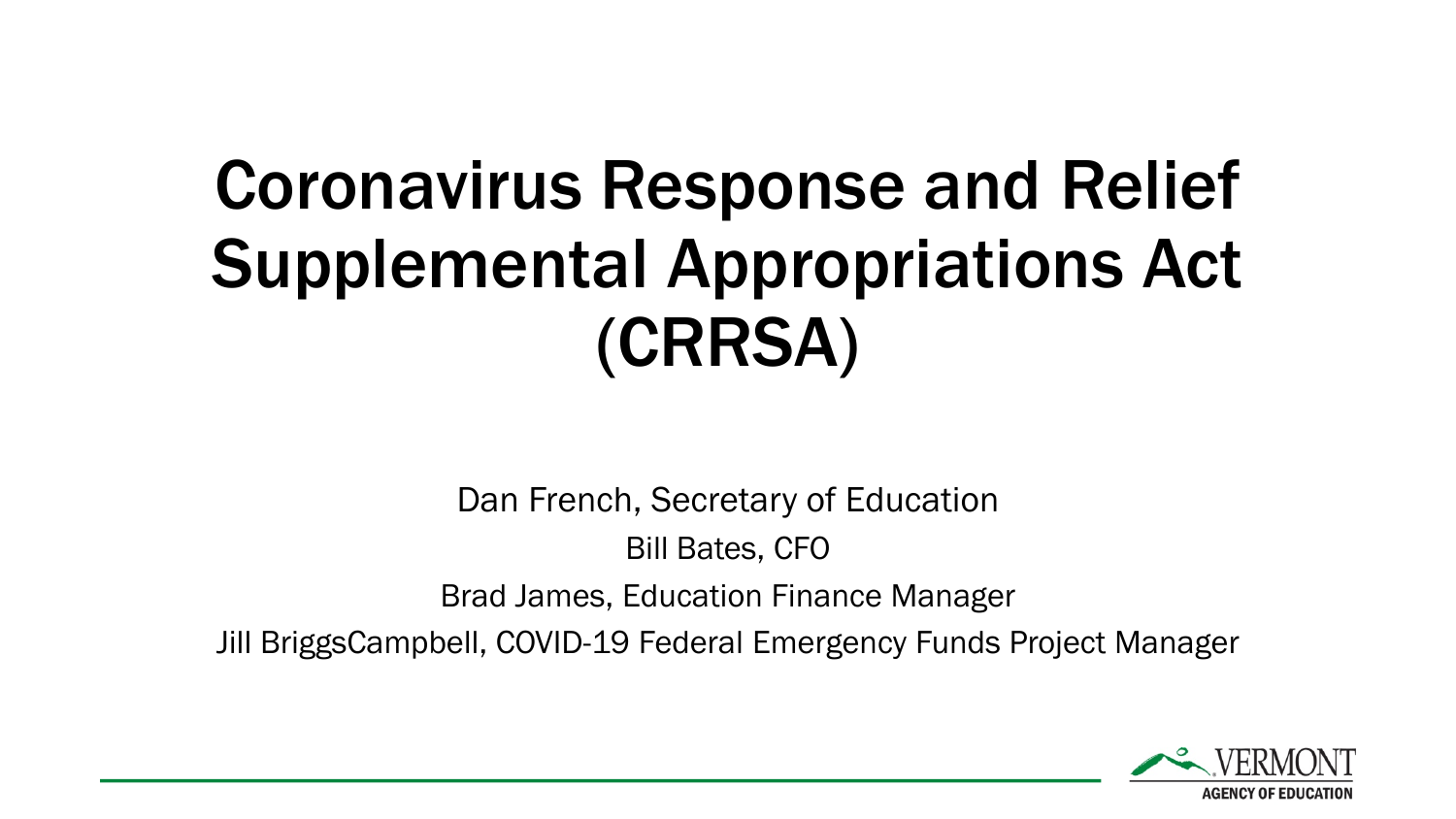# Coronavirus Response and Relief Supplemental Appropriations Act (CRRSA)

Dan French, Secretary of Education

Bill Bates, CFO

Brad James, Education Finance Manager

Jill BriggsCampbell, COVID-19 Federal Emergency Funds Project Manager

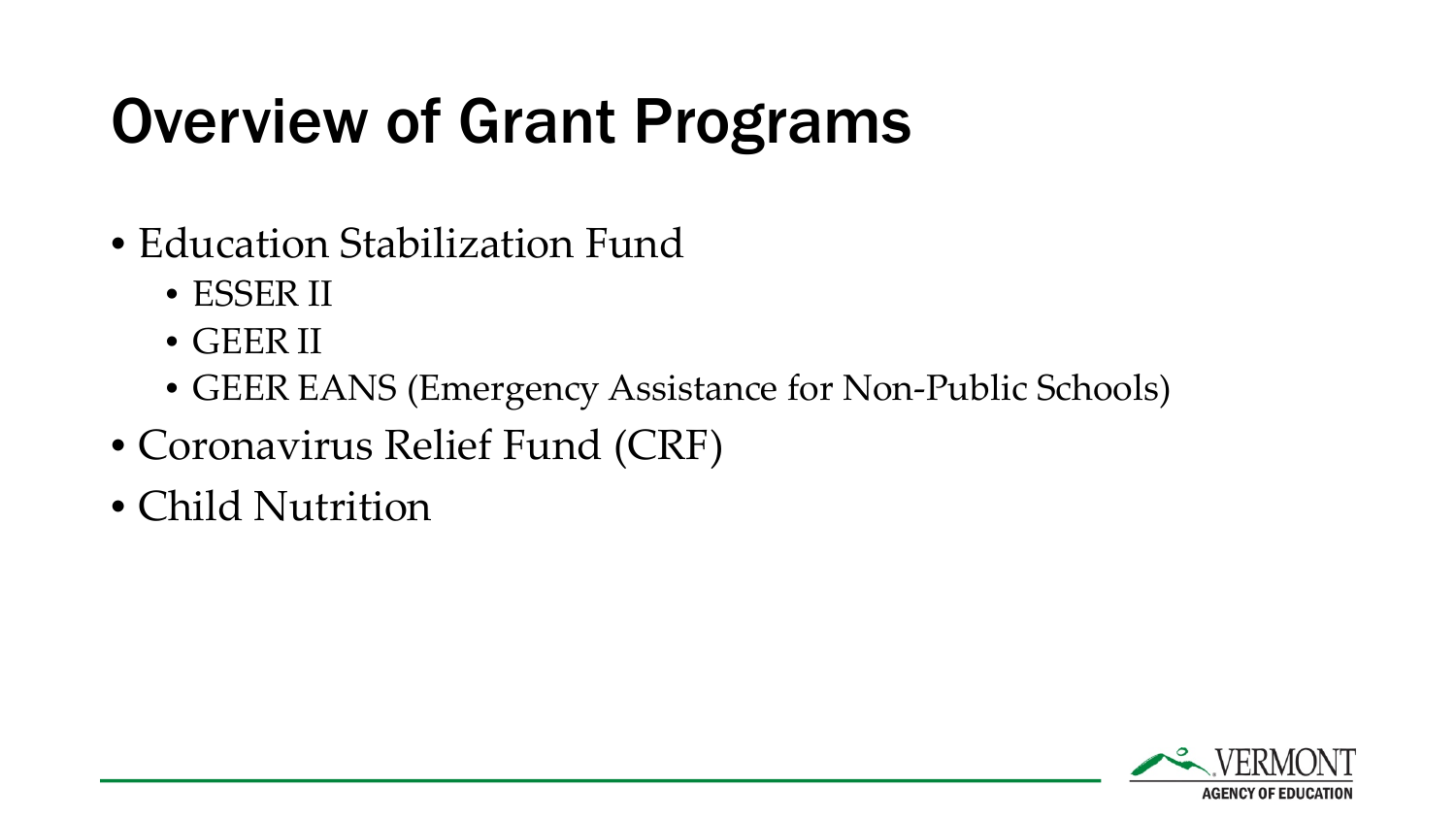### Overview of Grant Programs

- Education Stabilization Fund
	- ESSER II
	- GEER II
	- GEER EANS (Emergency Assistance for Non-Public Schools)
- Coronavirus Relief Fund (CRF)
- Child Nutrition

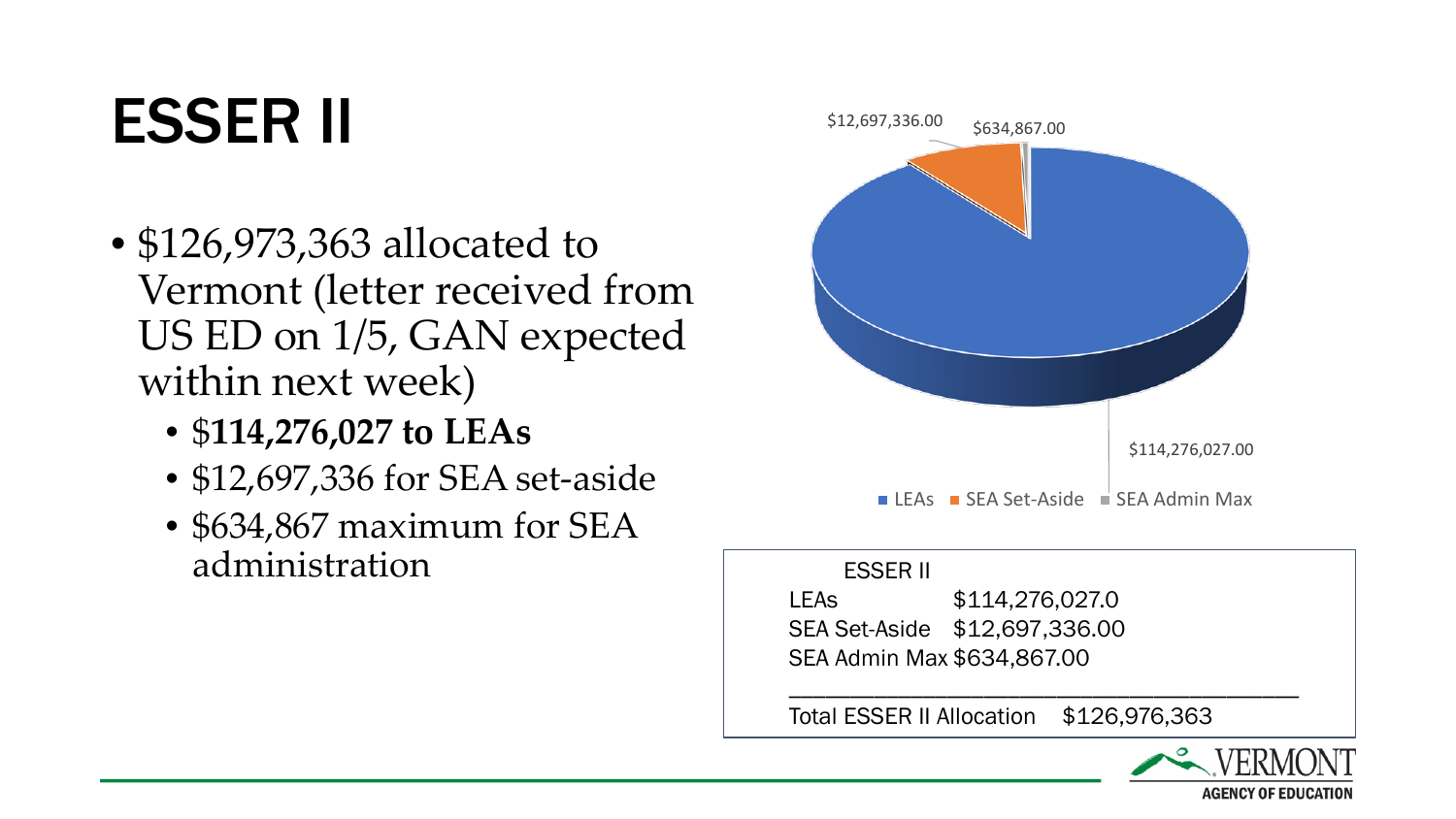#### ESSER II

- \$126,973,363 allocated to Vermont (letter received from US ED on 1/5, GAN expected within next week)
	- \$**114,276,027 to LEAs**
	- \$12,697,336 for SEA set-aside
	- \$634,867 maximum for SEA administration



#### ESSER II

LEAs \$114,276,027.0 SEA Set-Aside \$12,697,336.00 SEA Admin Max \$634,867.00

Total ESSER II Allocation \$126,976,363

\_\_\_\_\_\_\_\_\_\_\_\_\_\_\_\_\_\_\_\_\_\_\_\_\_\_\_\_\_\_\_\_\_\_\_\_\_\_\_\_\_\_

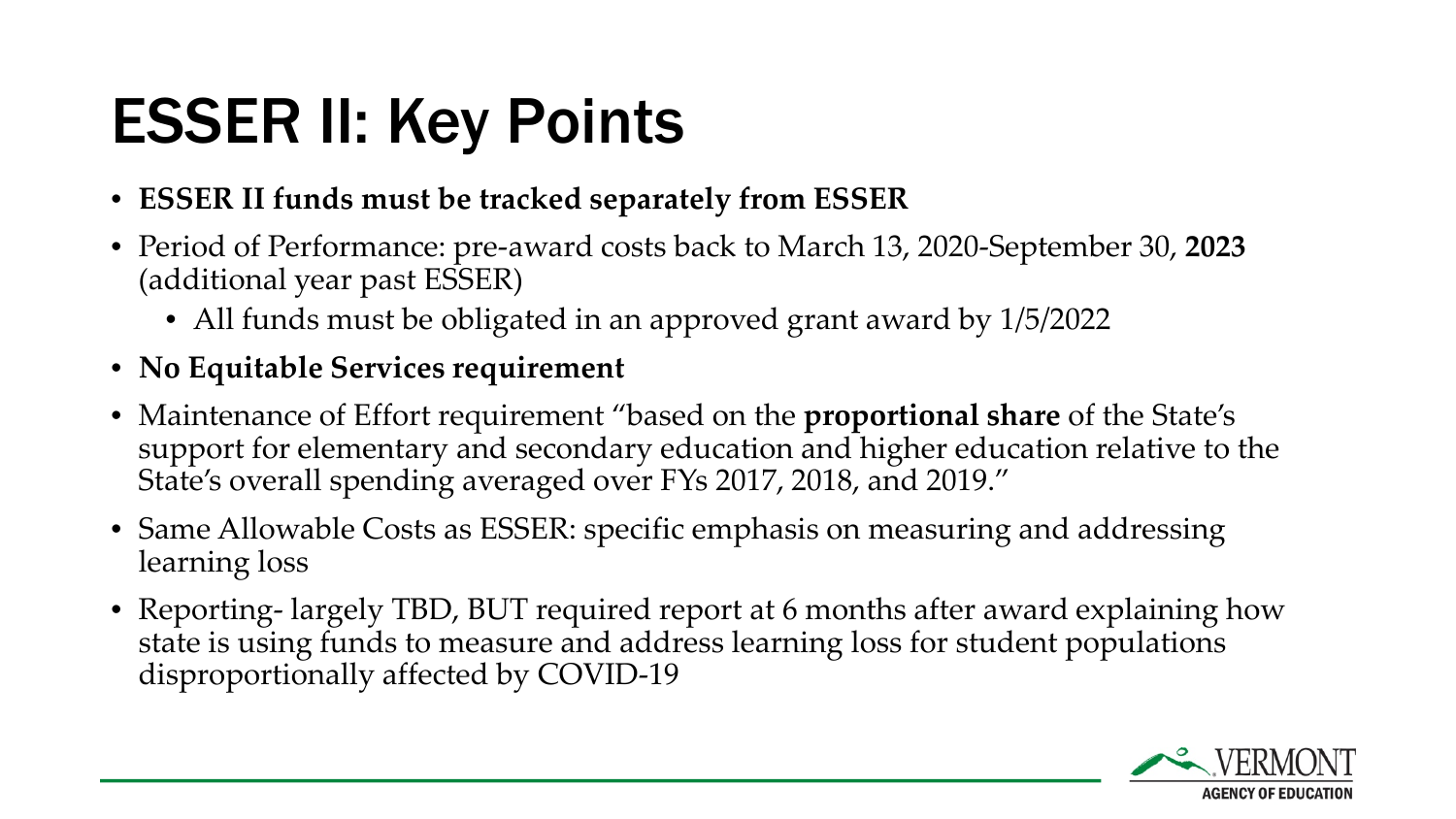### ESSER II: Key Points

- **ESSER II funds must be tracked separately from ESSER**
- Period of Performance: pre-award costs back to March 13, 2020-September 30, **2023**  (additional year past ESSER)
	- All funds must be obligated in an approved grant award by  $1/5/2022$
- **No Equitable Services requirement**
- Maintenance of Effort requirement "based on the **proportional share** of the State's support for elementary and secondary education and higher education relative to the State's overall spending averaged over FYs 2017, 2018, and 2019."
- Same Allowable Costs as ESSER: specific emphasis on measuring and addressing learning loss
- Reporting- largely TBD, BUT required report at 6 months after award explaining how state is using funds to measure and address learning loss for student populations disproportionally affected by COVID-19

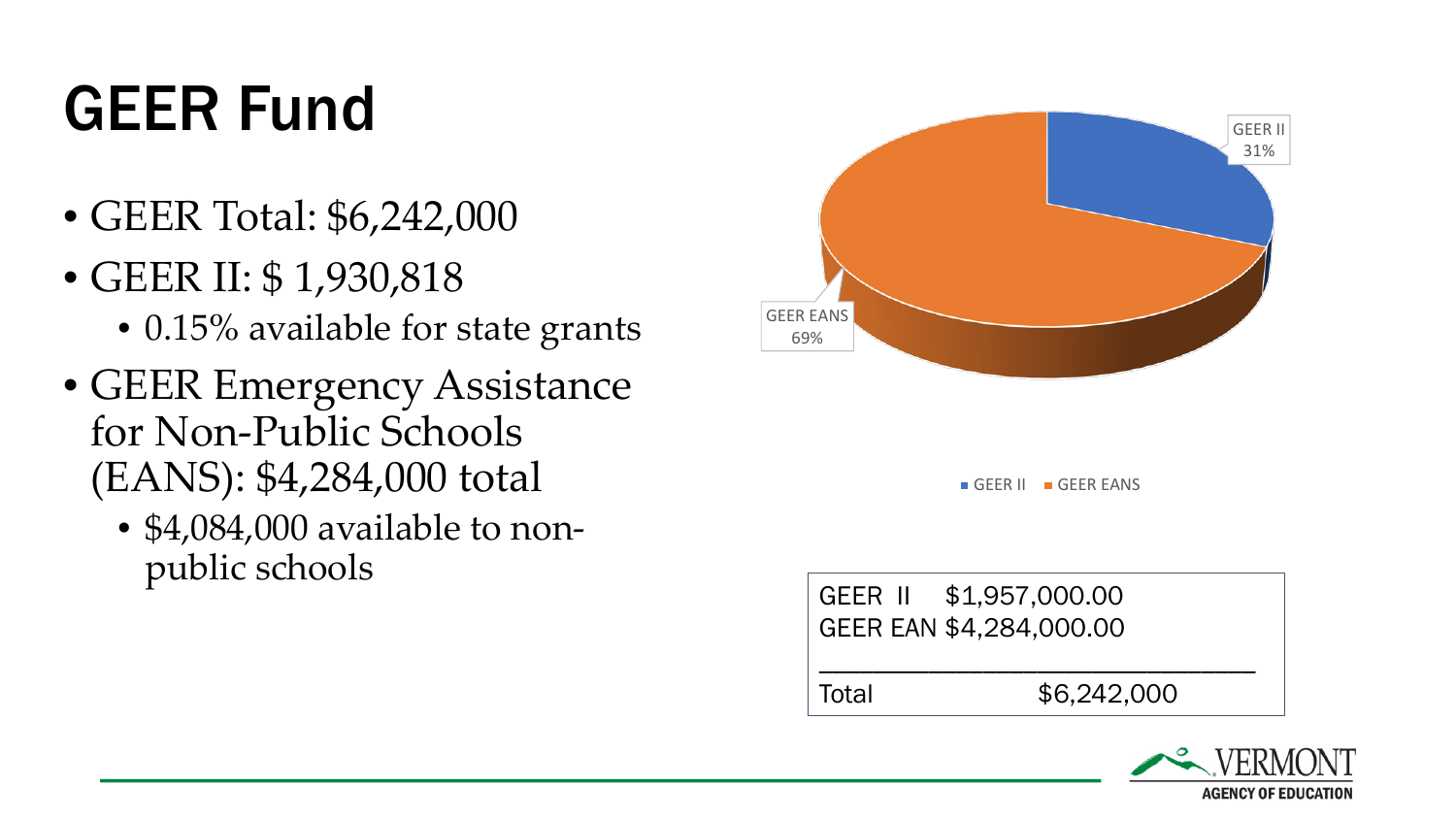## GEER Fund

- GEER Total: \$6,242,000
- GEER II: \$ 1,930,818
	- 0.15% available for state grants
- GEER Emergency Assistance for Non-Public Schools (EANS): \$4,284,000 total
	- \$4,084,000 available to nonpublic schools



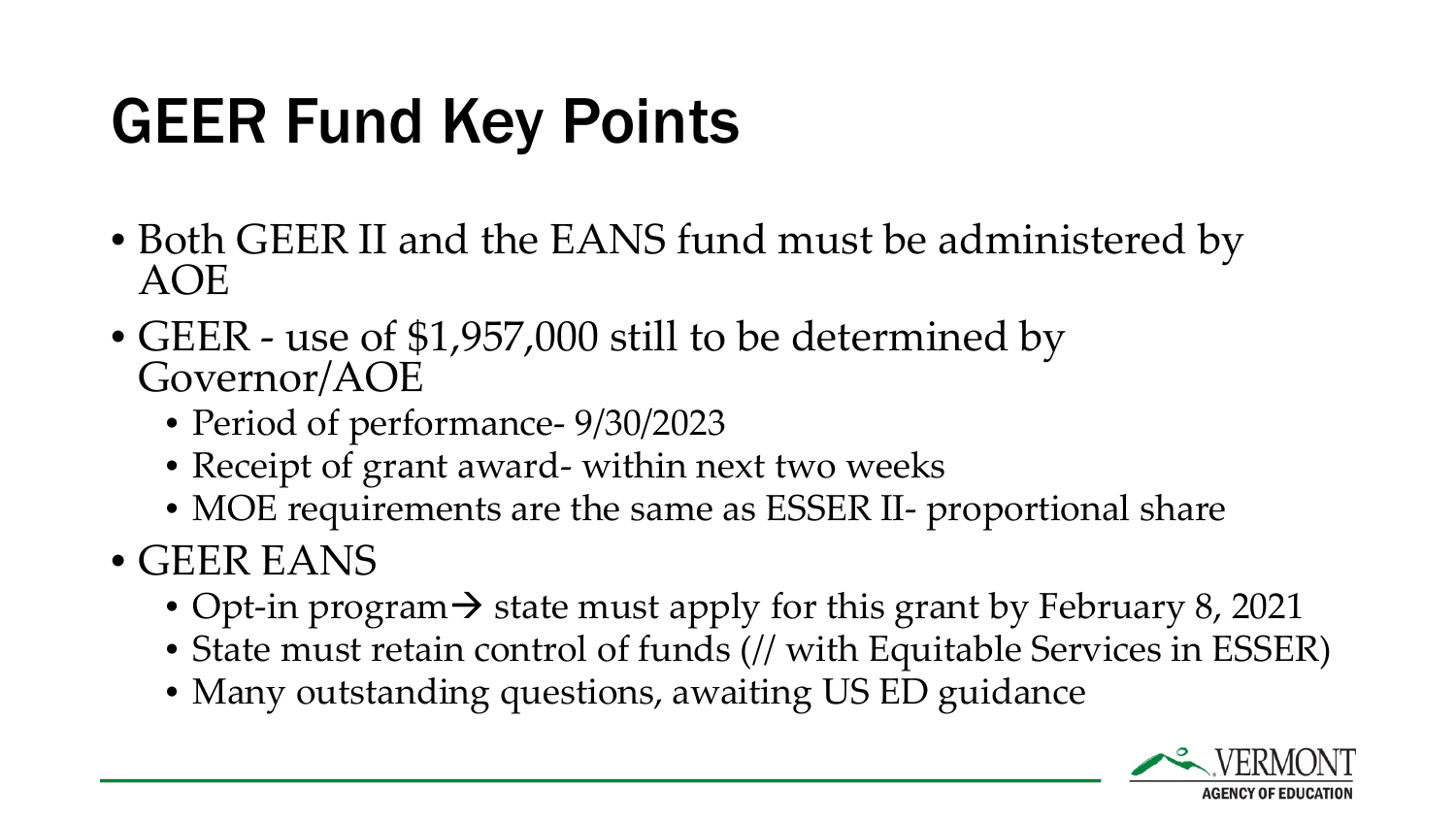### GEER Fund Key Points

- Both GEER II and the EANS fund must be administered by AOE
- GEER use of \$1,957,000 still to be determined by Governor/AOE
	- Period of performance-  $9/30/2023$
	- Receipt of grant award- within next two weeks
	- MOE requirements are the same as ESSER II- proportional share
- GEER EANS
	- Opt-in program  $\rightarrow$  state must apply for this grant by February 8, 2021
	- State must retain control of funds (// with Equitable Services in ESSER)
	- Many outstanding questions, awaiting US ED guidance

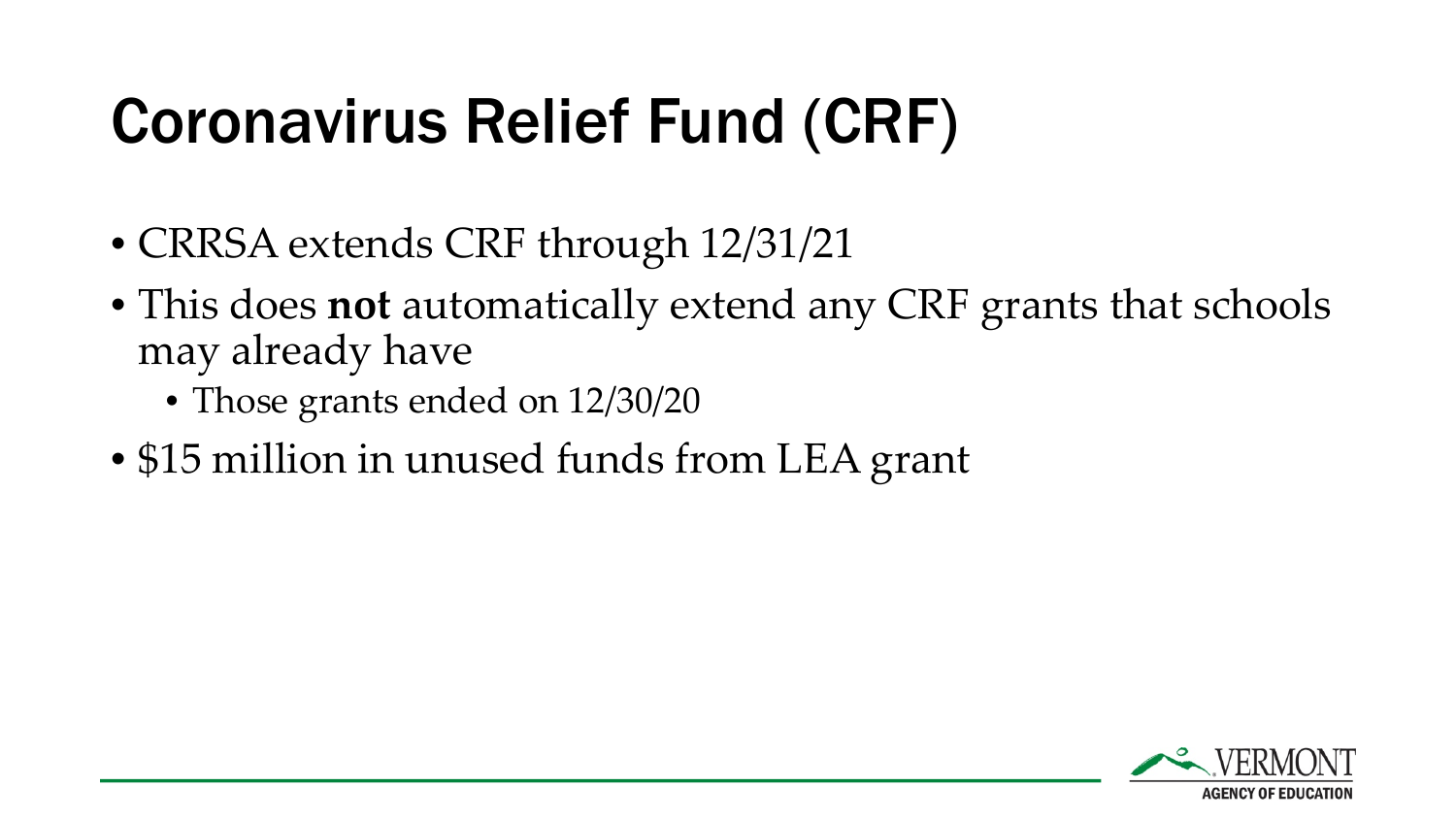### Coronavirus Relief Fund (CRF)

- CRRSA extends CRF through 12/31/21
- This does **not** automatically extend any CRF grants that schools may already have
	- Those grants ended on 12/30/20
- \$15 million in unused funds from LEA grant